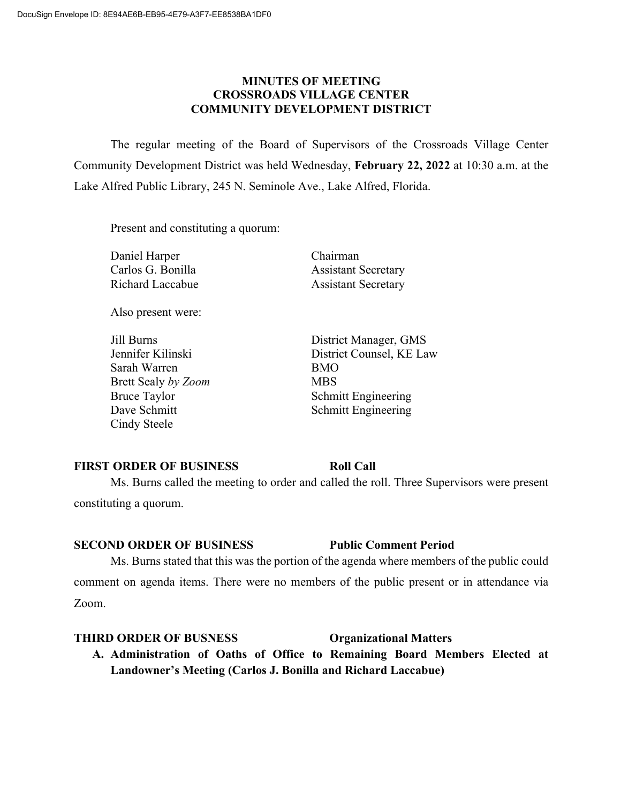### **MINUTES OF MEETING CROSSROADS VILLAGE CENTER COMMUNITY DEVELOPMENT DISTRICT**

The regular meeting of the Board of Supervisors of the Crossroads Village Center Community Development District was held Wednesday, **February 22, 2022** at 10:30 a.m. at the Lake Alfred Public Library, 245 N. Seminole Ave., Lake Alfred, Florida.

Present and constituting a quorum:

Daniel Harper Chairman

Also present were:

Sarah Warren BMO Brett Sealy *by Zoom* MBS Cindy Steele

Carlos G. Bonilla **Assistant Secretary** Richard Laccabue **Assistant Secretary** 

Jill Burns District Manager, GMS Jennifer Kilinski District Counsel, KE Law Bruce Taylor Schmitt Engineering Dave Schmitt National Schmitt Engineering

### **FIRST ORDER OF BUSINESS Roll Call**

Ms. Burns called the meeting to order and called the roll. Three Supervisors were present constituting a quorum.

### **SECOND ORDER OF BUSINESS Public Comment Period**

Ms. Burns stated that this was the portion of the agenda where members of the public could comment on agenda items. There were no members of the public present or in attendance via Zoom.

### **THIRD ORDER OF BUSNESS Organizational Matters**

**A. Administration of Oaths of Office to Remaining Board Members Elected at Landowner's Meeting (Carlos J. Bonilla and Richard Laccabue)**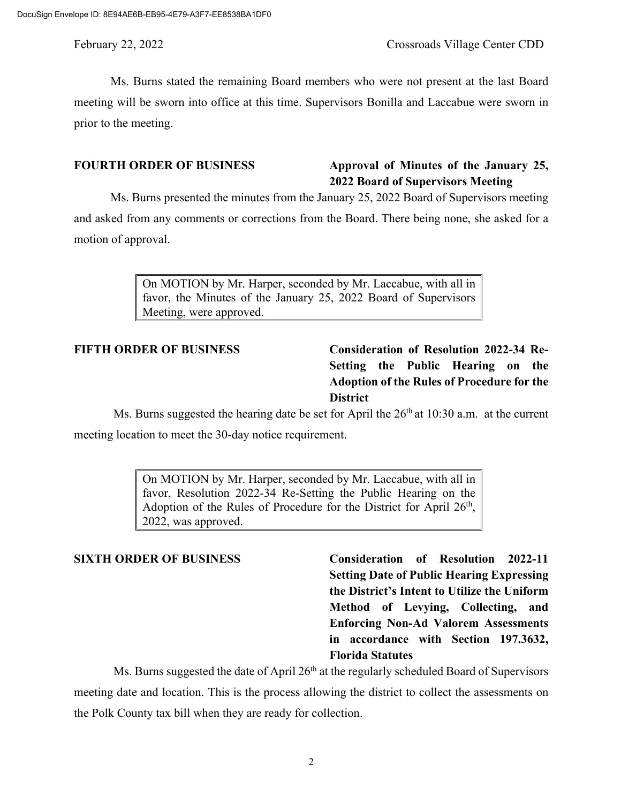Ms. Burns stated the remaining Board members who were not present at the last Board meeting will be sworn into office at this time. Supervisors Bonilla and Laccabue were sworn in prior to the meeting.

# **FOURTH ORDER OF BUSINESS Approval of Minutes of the January 25, 2022 Board of Supervisors Meeting**

Ms. Burns presented the minutes from the January 25, 2022 Board of Supervisors meeting and asked from any comments or corrections from the Board. There being none, she asked for a motion of approval.

> On MOTION by Mr. Harper, seconded by Mr. Laccabue, with all in favor, the Minutes of the January 25, 2022 Board of Supervisors Meeting, were approved.

# **FIFTH ORDER OF BUSINESS Consideration of Resolution 2022-34 Re-Setting the Public Hearing on the Adoption of the Rules of Procedure for the District**

Ms. Burns suggested the hearing date be set for April the  $26<sup>th</sup>$  at 10:30 a.m. at the current meeting location to meet the 30-day notice requirement.

> On MOTION by Mr. Harper, seconded by Mr. Laccabue, with all in favor, Resolution 2022-34 Re-Setting the Public Hearing on the Adoption of the Rules of Procedure for the District for April  $26<sup>th</sup>$ , 2022, was approved.

**SIXTH ORDER OF BUSINESS Consideration of Resolution 2022-11 Setting Date of Public Hearing Expressing the District's Intent to Utilize the Uniform Method of Levying, Collecting, and Enforcing Non-Ad Valorem Assessments in accordance with Section 197.3632, Florida Statutes**

Ms. Burns suggested the date of April  $26<sup>th</sup>$  at the regularly scheduled Board of Supervisors meeting date and location. This is the process allowing the district to collect the assessments on the Polk County tax bill when they are ready for collection.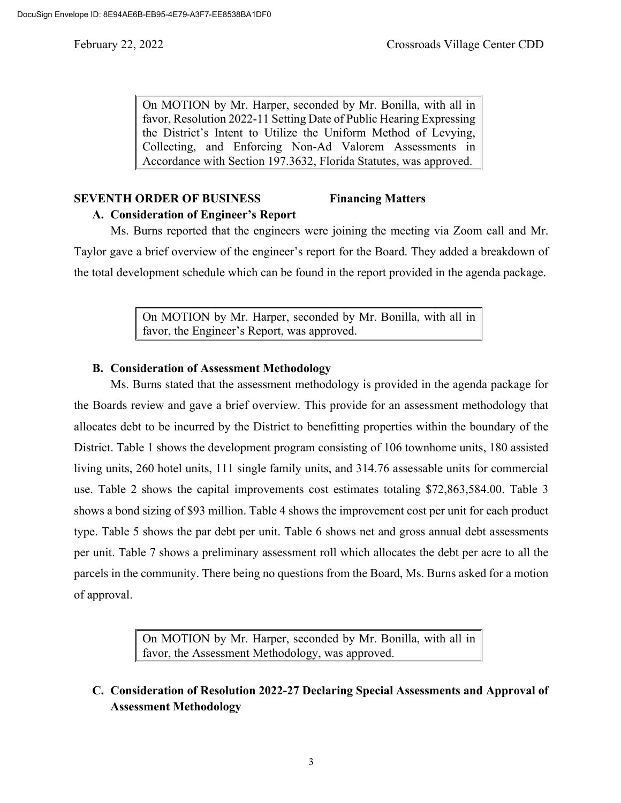On MOTION by Mr. Harper, seconded by Mr. Bonilla, with all in favor, Resolution 2022-11 Setting Date of Public Hearing Expressing the District's Intent to Utilize the Uniform Method of Levying, Collecting, and Enforcing Non-Ad Valorem Assessments in Accordance with Section 197.3632, Florida Statutes, was approved.

# **SEVENTH ORDER OF BUSINESS Financing Matters**

**A. Consideration of Engineer's Report**

Ms. Burns reported that the engineers were joining the meeting via Zoom call and Mr. Taylor gave a brief overview of the engineer's report for the Board. They added a breakdown of the total development schedule which can be found in the report provided in the agenda package.

> On MOTION by Mr. Harper, seconded by Mr. Bonilla, with all in favor, the Engineer's Report, was approved.

# **B. Consideration of Assessment Methodology**

Ms. Burns stated that the assessment methodology is provided in the agenda package for the Boards review and gave a brief overview. This provide for an assessment methodology that allocates debt to be incurred by the District to benefitting properties within the boundary of the District. Table 1 shows the development program consisting of 106 townhome units, 180 assisted living units, 260 hotel units, 111 single family units, and 314.76 assessable units for commercial use. Table 2 shows the capital improvements cost estimates totaling \$72,863,584.00. Table 3 shows a bond sizing of \$93 million. Table 4 shows the improvement cost per unit for each product type. Table 5 shows the par debt per unit. Table 6 shows net and gross annual debt assessments per unit. Table 7 shows a preliminary assessment roll which allocates the debt per acre to all the parcels in the community. There being no questions from the Board, Ms. Burns asked for a motion of approval.

> On MOTION by Mr. Harper, seconded by Mr. Bonilla, with all in favor, the Assessment Methodology, was approved.

**C. Consideration of Resolution 2022-27 Declaring Special Assessments and Approval of Assessment Methodology**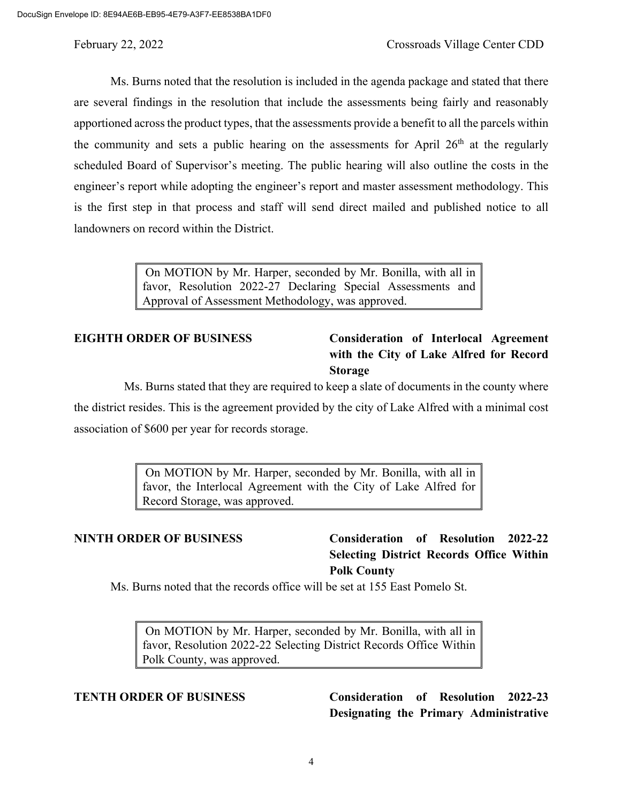Ms. Burns noted that the resolution is included in the agenda package and stated that there are several findings in the resolution that include the assessments being fairly and reasonably apportioned across the product types, that the assessments provide a benefit to all the parcels within the community and sets a public hearing on the assessments for April  $26<sup>th</sup>$  at the regularly scheduled Board of Supervisor's meeting. The public hearing will also outline the costs in the engineer's report while adopting the engineer's report and master assessment methodology. This is the first step in that process and staff will send direct mailed and published notice to all landowners on record within the District.

> On MOTION by Mr. Harper, seconded by Mr. Bonilla, with all in favor, Resolution 2022-27 Declaring Special Assessments and Approval of Assessment Methodology, was approved.

# **EIGHTH ORDER OF BUSINESS Consideration of Interlocal Agreement with the City of Lake Alfred for Record Storage**

Ms. Burns stated that they are required to keep a slate of documents in the county where the district resides. This is the agreement provided by the city of Lake Alfred with a minimal cost association of \$600 per year for records storage.

> On MOTION by Mr. Harper, seconded by Mr. Bonilla, with all in favor, the Interlocal Agreement with the City of Lake Alfred for Record Storage, was approved.

# **NINTH ORDER OF BUSINESS Consideration of Resolution 2022-22 Selecting District Records Office Within Polk County**

Ms. Burns noted that the records office will be set at 155 East Pomelo St.

On MOTION by Mr. Harper, seconded by Mr. Bonilla, with all in favor, Resolution 2022-22 Selecting District Records Office Within Polk County, was approved.

# **TENTH ORDER OF BUSINESS Consideration of Resolution 2022-23 Designating the Primary Administrative**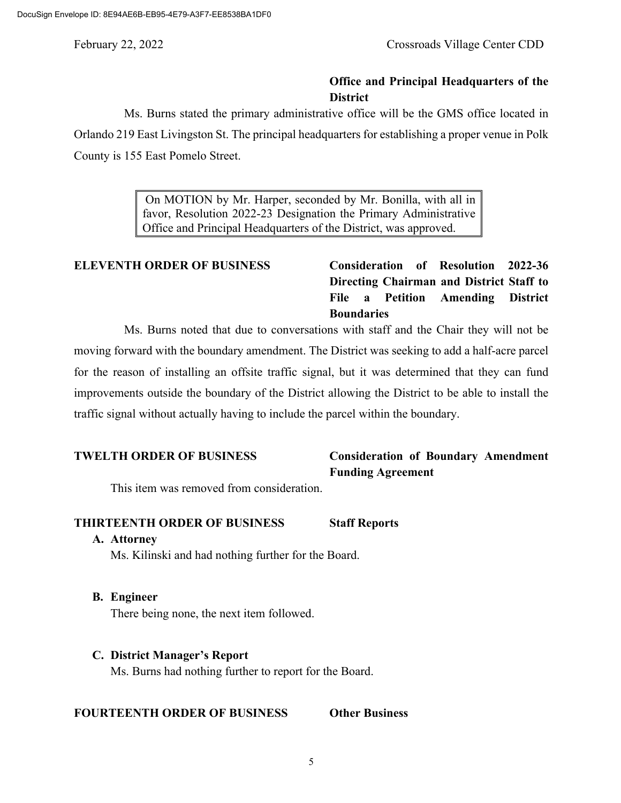## **Office and Principal Headquarters of the District**

Ms. Burns stated the primary administrative office will be the GMS office located in Orlando 219 East Livingston St. The principal headquarters for establishing a proper venue in Polk County is 155 East Pomelo Street.

> On MOTION by Mr. Harper, seconded by Mr. Bonilla, with all in favor, Resolution 2022-23 Designation the Primary Administrative Office and Principal Headquarters of the District, was approved.

# **ELEVENTH ORDER OF BUSINESS Consideration of Resolution 2022-36 Directing Chairman and District Staff to File a Petition Amending District Boundaries**

Ms. Burns noted that due to conversations with staff and the Chair they will not be moving forward with the boundary amendment. The District was seeking to add a half-acre parcel for the reason of installing an offsite traffic signal, but it was determined that they can fund improvements outside the boundary of the District allowing the District to be able to install the traffic signal without actually having to include the parcel within the boundary.

# **TWELTH ORDER OF BUSINESS Consideration of Boundary Amendment Funding Agreement**

This item was removed from consideration.

## **THIRTEENTH ORDER OF BUSINESS Staff Reports**

### **A. Attorney**

Ms. Kilinski and had nothing further for the Board.

**B. Engineer**

There being none, the next item followed.

## **C. District Manager's Report**

Ms. Burns had nothing further to report for the Board.

### **FOURTEENTH ORDER OF BUSINESS Other Business**